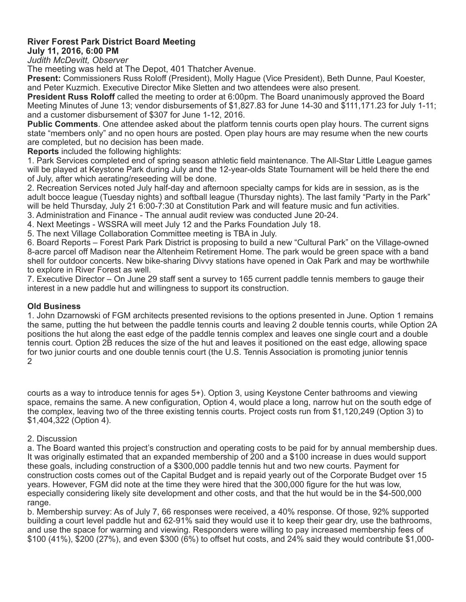## **River Forest Park District Board Meeting July 11, 2016, 6:00 PM**

*Judith McDevitt, Observer* 

The meeting was held at The Depot, 401 Thatcher Avenue.

**Present:** Commissioners Russ Roloff (President), Molly Hague (Vice President), Beth Dunne, Paul Koester, and Peter Kuzmich. Executive Director Mike Sletten and two attendees were also present.

**President Russ Roloff** called the meeting to order at 6:00pm. The Board unanimously approved the Board Meeting Minutes of June 13; vendor disbursements of \$1,827.83 for June 14-30 and \$111,171.23 for July 1-11; and a customer disbursement of \$307 for June 1-12, 2016.

**Public Comments**. One attendee asked about the platform tennis courts open play hours. The current signs state "members only" and no open hours are posted. Open play hours are may resume when the new courts are completed, but no decision has been made.

**Reports** included the following highlights:

1. Park Services completed end of spring season athletic field maintenance. The All-Star Little League games will be played at Keystone Park during July and the 12-year-olds State Tournament will be held there the end of July, after which aerating/reseeding will be done.

2. Recreation Services noted July half-day and afternoon specialty camps for kids are in session, as is the adult bocce league (Tuesday nights) and softball league (Thursday nights). The last family "Party in the Park" will be held Thursday, July 21 6:00-7:30 at Constitution Park and will feature music and fun activities.

3. Administration and Finance - The annual audit review was conducted June 20-24.

4. Next Meetings - WSSRA will meet July 12 and the Parks Foundation July 18.

5. The next Village Collaboration Committee meeting is TBA in July.

6. Board Reports – Forest Park Park District is proposing to build a new "Cultural Park" on the Village-owned 8-acre parcel off Madison near the Altenheim Retirement Home. The park would be green space with a band shell for outdoor concerts. New bike-sharing Divvy stations have opened in Oak Park and may be worthwhile to explore in River Forest as well.

7. Executive Director – On June 29 staff sent a survey to 165 current paddle tennis members to gauge their interest in a new paddle hut and willingness to support its construction.

## **Old Business**

1. John Dzarnowski of FGM architects presented revisions to the options presented in June. Option 1 remains the same, putting the hut between the paddle tennis courts and leaving 2 double tennis courts, while Option 2A positions the hut along the east edge of the paddle tennis complex and leaves one single court and a double tennis court. Option 2B reduces the size of the hut and leaves it positioned on the east edge, allowing space for two junior courts and one double tennis court (the U.S. Tennis Association is promoting junior tennis 2

courts as a way to introduce tennis for ages 5+). Option 3, using Keystone Center bathrooms and viewing space, remains the same. A new configuration, Option 4, would place a long, narrow hut on the south edge of the complex, leaving two of the three existing tennis courts. Project costs run from \$1,120,249 (Option 3) to \$1,404,322 (Option 4).

## 2. Discussion

a. The Board wanted this project's construction and operating costs to be paid for by annual membership dues. It was originally estimated that an expanded membership of 200 and a \$100 increase in dues would support these goals, including construction of a \$300,000 paddle tennis hut and two new courts. Payment for construction costs comes out of the Capital Budget and is repaid yearly out of the Corporate Budget over 15 years. However, FGM did note at the time they were hired that the 300,000 figure for the hut was low, especially considering likely site development and other costs, and that the hut would be in the \$4-500,000 range.

b. Membership survey: As of July 7, 66 responses were received, a 40% response. Of those, 92% supported building a court level paddle hut and 62-91% said they would use it to keep their gear dry, use the bathrooms, and use the space for warming and viewing. Responders were willing to pay increased membership fees of \$100 (41%), \$200 (27%), and even \$300 (6%) to offset hut costs, and 24% said they would contribute \$1,000-